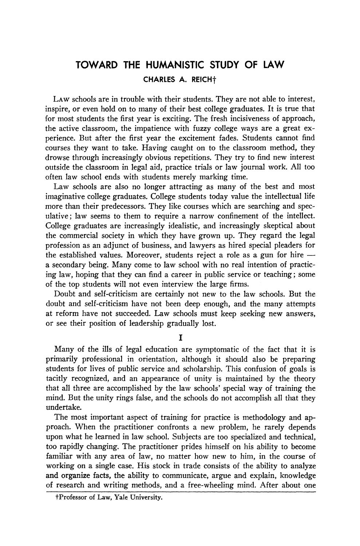## **TOWARD THE HUMANISTIC STUDY OF LAW CHARLES A. REICH+**

**LAW schools are in trouble with their students. They are not able to interest, inspire, or even hold on to many of their best college graduates. It is true that for most students the first year is exciting. The fresh incisiveness of approach, the active classroom, the impatience with fuzzy college ways are a great experience. But after the first year the excitement fades. Students cannot find courses they want to take. Having caught on to the classroom method, they drowse through increasingly obvious repetitions. They try to find new interest outside the classroom in legal aid, practice trials or law journal work. All too often law school ends with students merely marking time.** 

**Law schools are also no longer attracting as many of the best and most imaginative college graduates. College students today value- the intellectual life more than their predecessors. They like courses which are searching and speculative; law seems to them to require a narrow confinement of the intellect. College graduates are increasingly idealistic, and increasingly skeptical about the commercial society in which they have grown up. They regard the legal profession as an adjunct of business, and lawyers as hired special pleaders for the established values. Moreover, students reject a role as a gun for hire a secondary being. Many come to law school with no real intention of practicing law, hoping that they can find a career in public service or teaching; some of the top students will not even interview the large firms.** 

**Doubt and self-criticism are certainly not new to the law schools. But the doubt and self-criticism have not been deep enough, and the many attempts at reform have not succeeded. Law schools must keep seeking new answers, or see their position of leadership gradually lost.** 

**I** 

**Many of the ills of legal education are symptomatic of the fact that it is primarily professional in orientation, although it should also be preparing students for lives of public service and scholarship. This confusion of goals is tacitly recognized, and an appearance of unity is maintained by the theory that all three are accomplished by the law schools' special way of training the mind. But the unity rings false, and the schools do not accomplish all that they undertake.** 

**The most important aspect of training for practice is methodology and approach. When the practitioner confronts a new problem, he rarely depends upon what he learned in law school. Subjects are too specialized and technical, too rapidly changing. The practitioner prides himself on his ability to become familiar with any area of law, no matter how new to him, in the course of working on a single case. His stock in trade consists of the ability to analyze and organize facts, the ability to communicate, argue and explain, knowledge of research and writing methods, and a free-wheeling mind. After about one** 

**Professor of Law, Yale University.**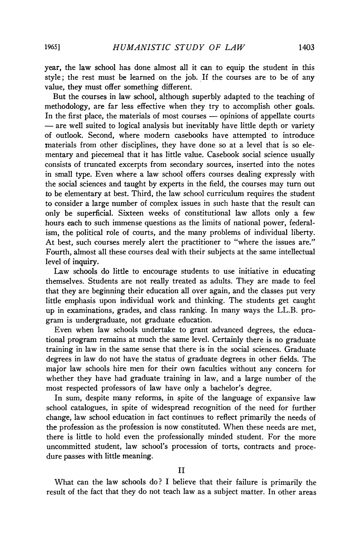**year, the law school has done almost all it can to equip the student in this style; the rest must be learned on the job. If the courses are to be of any value, they must offer something different.** 

**But the courses in law school, although superbly adapted to the teaching of methodology, are far less effective when they try to accomplish other goals.**  In the first place, the materials of most courses — opinions of appellate courts **- are well suited to logical analysis but inevitably have little depth or variety of outlook. Second, where modern casebooks have attempted to introduce materials from other disciplines, they have done so at a level that is so elementary and piecemeal that it has little value. Casebook social science usually consists of truncated excerpts from secondary sources, inserted into the notes in small type. Even where a law school offers courses dealing expressly with the social sciences and taught by experts in the field, the courses may turn out to be elementary at best. Third, the law school curriculum requires the student to consider a large number of complex issues in such haste that the result can only be superficial. Sixteen weeks of constitutional law allots only a few hours each to such immense questions as the limits of national power, federalism, the political role of courts, and the many problems of individual liberty. At best, such courses merely alert the practitioner to "where the issues are." Fourth, almost all these courses deal with their subjects at the same intellectual level of inquiry.** 

**Law schools do little to encourage students to use initiative in educating themselves. Students are not really treated as adults. They are made to feel that they are beginning their education all over again, and the classes put very little emphasis upon individual work and thinking. The students get caught up in examinations, grades, and class ranking. In many ways the LL.B. program is undergraduate, not graduate education.** 

**Even when law schools undertake to grant advanced degrees, the educational program remains at much the same level. Certainly there is no graduate training in law in the same sense that there is in the social sciences. Graduate degrees in law do not have the status of graduate degrees in other fields. The major law schools hire men for their own faculties without any concern for whether they have had graduate training in law, and a large number of the most respected professors of law have only a bachelor's degree.** 

**In sum, despite many reforms, in spite of the language of expansive law school catalogues, in spite of widespread recognition of the need for further change, law school education in fact continues to reflect primarily the needs of the profession as the profession is now constituted. When these needs are met, there is little to hold even the professionally minded student. For the more uncommitted student, law school's procession of torts, contracts and procedure passes with little meaning.** 

**II** 

**What can the law schools do? I believe that their failure is primarily the result of the fact that they do not teach law as a subject matter. In other areas**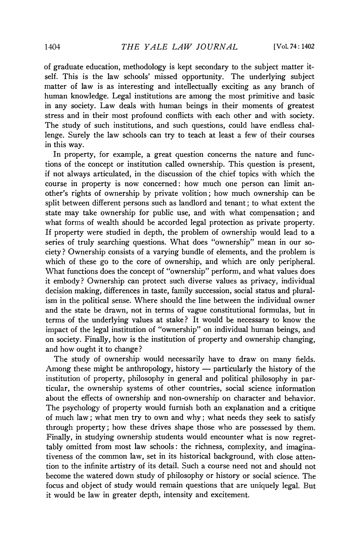**of graduate education, methodology is kept secondary to the subject matter itself. This is the law schools' missed opportunity. The underlying subject matter of law is as interesting and intellectually exciting as any branch of human knowledge. Legal institutions are among the most primitive and basic in any society. Law deals with human beings in their moments of greatest stress and in their most profound conflicts with each other and with society. The study of such institutions, and such questions, could have endless challenge. Surely the law schools can try to teach at least a few of their courses in this way.** 

**In property, for example, a great question concerns the nature and functions of the concept or institution called ownership. This question is present, if not always articulated, in the discussion of the chief topics with which the course in property is now concerned: how much one person can limit another's rights of ownership by private volition; how much ownership can be split between different persons such as landlord and tenant; to what extent the state may take ownership for public use, and with what compensation; and what forms of wealth should be accorded legal protection as private property. If property were studied in depth, the problem of ownership would lead to a series of truly searching questions. What does "ownership" mean in our society? Ownership consists of a varying bundle of elements, and the problem is which of these go to the core of ownership, and which are only peripheral. What functions does the concept of "ownership" perform, and what values does it embody? Ownership can protect such diverse values as privacy, individual decision making, differences in taste, family succession, social status and pluralism in the political sense. Where should the line between the individual owner and the state be drawn, not in terms of vague constitutional formulas, but in terms of the underlying values at stake? It would be necessary to know the impact of the legal institution of "ownership" on individual human beings, and on society. Finally, how is the institution of property and ownership changing, and how ought it to change?** 

**The study of ownership would necessarily have to draw on many fields. Among these might be anthropology, history - particularly the history of the institution of property, philosophy in general and political philosophy in particular, the ownership systems of other countries, social science information about the effects of ownership and non-ownership on character and behavior. The psychology of property would furnish both an explanation and a critique of much law; what men try to own and why; what needs they seek to satisfy through property; how these drives shape those who are possessed by them. Finally, in studying ownership students would encounter what is now regrettably omitted from most law schools: the richness, complexity, and imaginativeness of the common law, set in its historical background, with close attention to the infinite artistry of its detail. Such a course need not and should not become the watered down study of philosophy or history or social science. The focus and object of study would remain questions that are uniquely legal. But it would be law in greater depth, intensity and excitement.**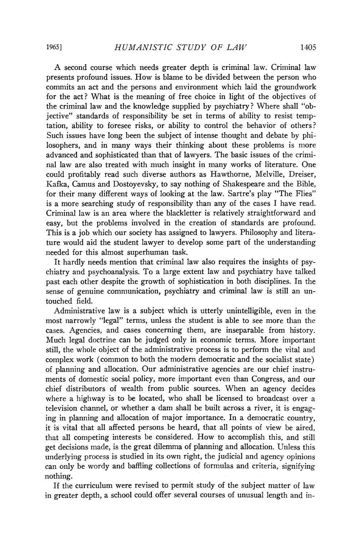**A second course which needs greater depth is criminal law. Criminal law presents profound issues. How is blame to be divided between the person who commits an act and the persons and environment which laid the groundwork for the act? What is the meaning of free choice in light of the objectives of the criminal law and the knowledge supplied by psychiatry? Where shall "objective" standards of responsibility be set in terms of ability to resist temptation, ability to foresee risks, or ability to control the behavior of others? Such issues have long been the subject of intense thought and debate by philosophers, and in many ways their thinking about these problems is more advanced and sophisticated than that of lawyers. The basic issues of the criminal law are also treated with much insight in many works of literature. One could profitably read such diverse authors as Hawthorne, Melville, Dreiser, Kafka, Camus and Dostoyevsky, to say nothing of Shakespeare and the Bible, for their many different ways of looking at the law. Sartre's play "The Flies" is a more searching study of responsibility than any of the cases I have read. Criminal law is an area where the blackletter is relatively straightforward and easy, but the problems involved in the creation of standards are profound. This is a job which our society has assigned to lawyers. Philosophy and literature would aid the student lawyer to develop some part of the understanding needed for this almost superhuman task.** 

**It hardly needs mention that criminal law also requires the insights of psychiatry and psychoanalysis. To a large' extent law and psychiatry have talked past each other despite the growth of sophistication in both disciplines. In the sense of genuine communication, psychiatry and criminal law is still an untouched field.** 

**Administrative law is a subject which is utterly unintelligible, even in the most narrowly "legal" terms, unless the student is able to see'more than the cases. Agencies, and cases concerning them, are inseparable 'from history. Much legal doctrine can be judged only in economic terms. More important still, the whole object of the administrative process is to perform the vital and complex work (common to both the modern democratic and the socialist state) of planning and allocation. Our administrative agencies are our-chief instruments of domestic social policy, more important even than Congress, and our chief distributors of wealth from public sources. When an agency decides where a highway is to be located, who shall be licensed to broadcast over a television channel, or whether a dam shall be built across a river, it is engaging in planning and allocation of major importance. In a democratic country, it is vital that all affected persons be heard, that all points of view be aired, that all competing interests be considered. How to accomplish this, and still get decisions made, is the great dilemma of planning and allocation. Unless this underlying process is studied in its own right, the judicial and agency opinions can only be wordy and baffling collections of formulas and criteria, signifying nothing.** 

**If the curriculum were revised to permit study of the subject matter of law in greater depth, a school could offer several courses of unusual length and in-**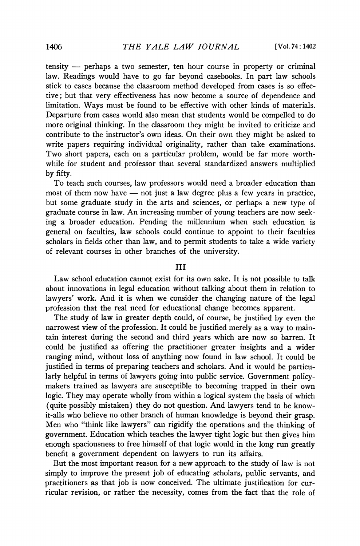**tensity - perhaps a two semester, ten hour course in property or criminal law. Readings would have to go far beyond casebooks. In part law schools stick to cases because the classroom method developed from cases is so effective; but that very effectiveness has now become a source of dependence and limitation. Ways must be found to be effective with other kinds of materials. Departure from cases would also mean that students would be compelled to do more original thinking. In the classroom they might be invited to criticize and contribute to the instructor's own ideas. On their own they might be asked to write papers requiring individual originality, rather than take examinations. Two short papers, each on a particular problem, would be far more worthwhile for student and professor than several standardized answers multiplied by fifty.** 

**To teach such courses, law professors would need a broader education than most of them now have - not just a law degree plus a few years in practice, but some graduate study in the arts and sciences, or perhaps a new type of graduate course in law. An increasing number of young teachers are now seeking a broader education. Pending the millennium when such education is general on faculties, law schools could continue to appoint to their faculties scholars in fields other than law, and to permit students to take a wide variety of relevant courses in other branches of the university.** 

## **III**

**Law school education cannot exist for its own sake. It is not possible to talk about innovations in legal education without talking about them in relation to lawyers' work. And it is when we consider the changing nature of the legal profession that the real need for educational change becomes apparent.** 

**The study of law in greater depth could, of course, be justified by even the narrowest view of the profession. It could be justified merely as a way to maintain interest during the second and third years which are now so barren. It could be justified as offering the practitioner greater insights and a wider ranging mind, without loss of anything now found in law school. It could be justified in terms of preparing teachers and scholars. And it would be particularly helpful in terms of lawyers going into public service. Government policymakers trained as lawyers are susceptible to becoming trapped in their own logic. They may operate wholly from within a logical system the basis of which (quite possibly mistaken) they do not question. And lawyers tend to be knowit-alls who believe no other branch of human knowledge is beyond their grasp. Men who "think like lawyers" can rigidify the operations and the thinking of government. Education which teaches the lawyer tight logic but then gives him enough spaciousness to free himself of that logic would in the long run greatly benefit a government dependent on lawyers to run its affairs.** 

**But the most important reason for a new approach to the study of law is not simply to improve the present job of educating scholars, public servants, and practitioners as that job is now conceived. The ultimate justification for curricular revision, or rather the necessity, comes from the fact that the role of**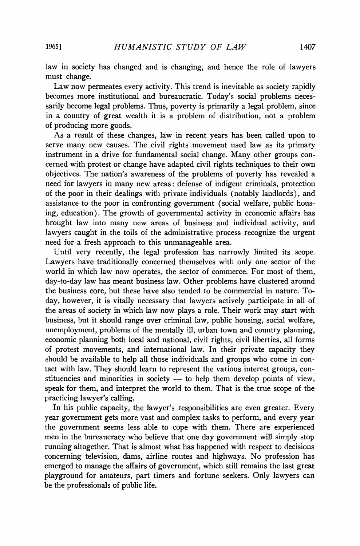**law in society has changed and is changing, and hence the role of lawyers must change.** 

**Law now permeates every activity. This trend is inevitable as society rapidly becomes more institutional and bureaucratic. Today's social problems necessarily become legal problems. Thus, poverty is primarily a legal problem, since in a country of great wealth it is a problem of distribution, not a problem of producing more goods.** 

**As a result of these changes, law in recent years has been called upon to serve many new causes. The civil rights movement used law as its primary instrument in a drive for fundamental social change. Many other groups concerned with protest or change have adapted civil rights techniques to their own objectives. The nation's awareness of the problems of poverty has revealed a need for lawyers in many new areas: defense of indigent criminals, protection of the poor in their dealings with private individuals (notably landlords), and assistance to the poor in confronting government (social welfare, public housing, education). The growth of governmental activity in economic affairs has brought law into many new areas of business and individual activity, and lawyers caught in the toils of the administrative process recognize the urgent need for a fresh approach to this unmanageable area.** 

**Until very recently, the legal profession has narrowly limited its scope. Lawyers have traditionally concerned themselves with only one sector of the world in which law now operates, the sector of commerce. For most of them, day-to-day law has meant business law. Other problems have clustered around the business core, but these have also tended to be commercial in nature. Today, however, it is vitally necessary that lawyers actively participate in all of the areas of society in which law now plays a role. Their work may start with business, but it should range over criminal law, public housing, social welfare, unemployment, problems of the mentally ill, urban town and country planning, economic planning both local and national, civil rights, civil liberties, all forms of protest movements, and international law. In their private capacity they should be available to help all those individuals and groups who come in contact with law. They should learn to represent the various interest groups, constituencies and minorities in society - to help them develop points of view, speak for them, and interpret the world to them. That is the true scope of the practicing lawyer's calling.** 

**In his public capacity, the lawyer's responsibilities are even greater. Every year government gets more vast and complex tasks to perform, and every year the government seems less able to cope with them. There are experienced men in the bureaucracy who believe that one day government will simply stop running altogether. That is almost what has happened with respect to decisions concerning television, dams, airline routes and highways. No profession has emerged to manage the affairs of government, which still remains the last great playground for amateurs, part timers and fortune seekers. Only lawyers can be the professionals of public life.**